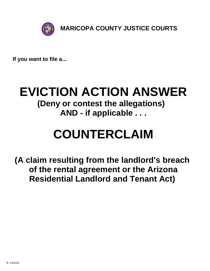

**If you want to file a...**

## **EVICTION ACTION ANSWER (Deny or contest the allegations) AND - if applicable . . .**

# **COUNTERCLAIM**

**(A claim resulting from the landlord's breach of the rental agreement or the Arizona Residential Landlord and Tenant Act)**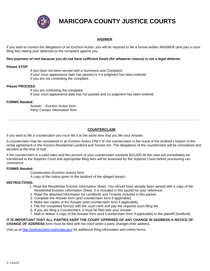

## **MARICOPA COUNTY JUSTICE COURTS**

### **ANSWER**

If you wish to contest the allegations of an Eviction Action, you will be required to file a formal written ANSWER (and pay a court filing fee) stating your defenses to the complaint against you.

#### *Non-payment of rent because you do not have sufficient funds (for whatever reason) is not a legal defense.*

#### **Please STOP**

 If you have not been served with a Summons and Complaint. If your court appearance date has passed or if a judgment has been entered. If you are not contesting the complaint.

#### **Please PROCEED**

 If you are contesting the complaint. If your court appearance date has not passed and no judgment has been entered.

#### **FORMS Needed:**

 Answer – Eviction Action form Party Contact Information form

#### **COUNTERCLAIM**

If you wish to file a counterclaim you must file it at the same time that you file your Answer.

A counterclaim may be considered in an Eviction Action ONLY IF the counterclaim is the result of the andlord's breach of the rental agreement or the Arizona Residential Landlord and Tenant Act. The allegations of the counterclaim will be considered and decided at the time of trial.

If the counterclaim is a valid claim and the amount of your counterclaim exceeds \$10,000.00 the case will immediately be transferred to the Superior Court and appropriate filing fees will be assessed by the Superior Court before processing can commence.

#### **FORMS Needed:**

Counterclaim (Eviction Action) form

A copy of the notice given to the landlord of the alleged breach.

#### **INSTRUCTIONS:**

- 1. Read the Residential Eviction Information Sheet. You should have already been served with a copy of the Residential Eviction Information Sheet. It is included in this packet for your reference.
- 2. Read the attached Information for Landlords and Tenants included in this packet
- 3. Complete the Answer form (and counterclaim form if applicable).
- 4. Make two copies of the Answer (and counterclaim form if applicable).
- 5. File the completed form(s) with the court clerk and pay the required court filing fee.
- 6. If you are filing a Counterclaim, it must be filed with your Answer.
- 7. Mail or deliver a copy of the Answer form (and Counterclaim form if applicable) to the plaintiff (landlord).

**IT IS IMPORTANT THAT ALL PARTIES KEEP THE COURT APPRISED OF ANY CHANGE IN ADDRESS A NOTICE OF CHANGE OF ADDRESS** form must be filed with the court when a party changes their address.

Visit us at http://justicecourts.maricopa.gov/ for additional filing information and online forms.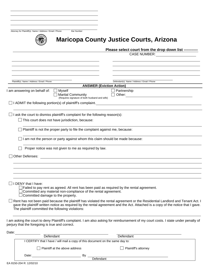|       | Attorney for Plaintiff(s) Name / Address / Email / Phone<br><b>Bar Number</b>                                                                                                                                        |                                                                                                                                                                                                                                                                         |
|-------|----------------------------------------------------------------------------------------------------------------------------------------------------------------------------------------------------------------------|-------------------------------------------------------------------------------------------------------------------------------------------------------------------------------------------------------------------------------------------------------------------------|
|       |                                                                                                                                                                                                                      | <b>Maricopa County Justice Courts, Arizona</b>                                                                                                                                                                                                                          |
|       |                                                                                                                                                                                                                      | Please select court from the drop down list -----------                                                                                                                                                                                                                 |
|       |                                                                                                                                                                                                                      | <b>CASE NUMBER:</b>                                                                                                                                                                                                                                                     |
|       |                                                                                                                                                                                                                      |                                                                                                                                                                                                                                                                         |
|       |                                                                                                                                                                                                                      |                                                                                                                                                                                                                                                                         |
|       | Plaintiff(s) Name / Address / Email / Phone                                                                                                                                                                          | Defendant(s) Name / Address / Email / Phone                                                                                                                                                                                                                             |
|       |                                                                                                                                                                                                                      | <b>ANSWER (Eviction Action)</b>                                                                                                                                                                                                                                         |
|       | am answering on behalf of:<br>Myself<br><b>Marital Community</b>                                                                                                                                                     | $\Box$ Partnership<br>Other:<br>$\Box$                                                                                                                                                                                                                                  |
|       | (Requires signature of both husband and wife)<br>$\Box$ I ADMIT the following portion(s) of plaintiff's complaint.                                                                                                   | <u> 1989 - Andrea Stadt Britain, amerikansk politik (* 1958)</u>                                                                                                                                                                                                        |
|       | $\Box$ I ask the court to dismiss plaintiff's complaint for the following reason(s):                                                                                                                                 |                                                                                                                                                                                                                                                                         |
|       | This court does not have jurisdiction, because:                                                                                                                                                                      |                                                                                                                                                                                                                                                                         |
|       | Plaintiff is not the proper party to file the complaint against me, because:                                                                                                                                         |                                                                                                                                                                                                                                                                         |
|       | I am not the person or party against whom this claim should be made because:                                                                                                                                         |                                                                                                                                                                                                                                                                         |
|       | Proper notice was not given to me as required by law.                                                                                                                                                                |                                                                                                                                                                                                                                                                         |
|       | Other Defenses:                                                                                                                                                                                                      | <u> 1989 - Johann Stoff, deutscher Stoffen und der Stoffen und der Stoffen und der Stoffen und der Stoffen und de</u>                                                                                                                                                   |
|       |                                                                                                                                                                                                                      |                                                                                                                                                                                                                                                                         |
|       |                                                                                                                                                                                                                      |                                                                                                                                                                                                                                                                         |
|       | $\Box$ I DENY that I have:                                                                                                                                                                                           |                                                                                                                                                                                                                                                                         |
|       | $\Box$ Failed to pay rent as agreed. All rent has been paid as required by the rental agreement.<br>Committed any material non-compliance of the rental agreement.<br>$\!\!\!\Box$ Committed damage to the property. |                                                                                                                                                                                                                                                                         |
|       | The plaintiff committed the following violations:                                                                                                                                                                    | $\Box$ Rent has not been paid because the plaintiff has violated the rental agreement or the Residential Landlord and Tenant Act. I<br>gave the plaintiff written notice as required by the rental agreement and the Act. Attached is a copy of the notice that I gave. |
|       | perjury that the foregoing is true and correct.                                                                                                                                                                      | I am asking the court to deny Plaintiff's complaint. I am also asking for reimbursement of my court costs. I state under penalty of                                                                                                                                     |
| Date: |                                                                                                                                                                                                                      |                                                                                                                                                                                                                                                                         |
|       | Defendant                                                                                                                                                                                                            | Defendant                                                                                                                                                                                                                                                               |
|       | I CERTIFY that I have / will mail a copy of this document on the same day to:                                                                                                                                        |                                                                                                                                                                                                                                                                         |
|       | Plaintiff at the above address                                                                                                                                                                                       | Plaintiff's attorney                                                                                                                                                                                                                                                    |
|       | Date:<br>By                                                                                                                                                                                                          |                                                                                                                                                                                                                                                                         |

**Defendant**